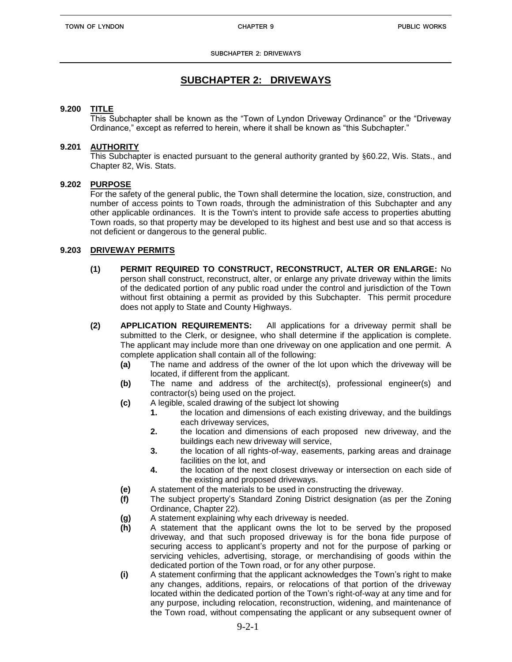# **SUBCHAPTER 2: DRIVEWAYS**

# **9.200 TITLE**

This Subchapter shall be known as the "Town of Lyndon Driveway Ordinance" or the "Driveway Ordinance," except as referred to herein, where it shall be known as "this Subchapter."

## **9.201 AUTHORITY**

This Subchapter is enacted pursuant to the general authority granted by §60.22, Wis. Stats., and Chapter 82, Wis. Stats.

## **9.202 PURPOSE**

For the safety of the general public, the Town shall determine the location, size, construction, and number of access points to Town roads, through the administration of this Subchapter and any other applicable ordinances. It is the Town's intent to provide safe access to properties abutting Town roads, so that property may be developed to its highest and best use and so that access is not deficient or dangerous to the general public.

# **9.203 DRIVEWAY PERMITS**

- **(1) PERMIT REQUIRED TO CONSTRUCT, RECONSTRUCT, ALTER OR ENLARGE:** No person shall construct, reconstruct, alter, or enlarge any private driveway within the limits of the dedicated portion of any public road under the control and jurisdiction of the Town without first obtaining a permit as provided by this Subchapter. This permit procedure does not apply to State and County Highways.
- **(2) APPLICATION REQUIREMENTS:** All applications for a driveway permit shall be submitted to the Clerk, or designee, who shall determine if the application is complete. The applicant may include more than one driveway on one application and one permit. A complete application shall contain all of the following:
	- **(a)** The name and address of the owner of the lot upon which the driveway will be located, if different from the applicant.
	- **(b)** The name and address of the architect(s), professional engineer(s) and contractor(s) being used on the project.
	- **(c)** A legible, scaled drawing of the subject lot showing
		- **1.** the location and dimensions of each existing driveway, and the buildings each driveway services,
		- **2.** the location and dimensions of each proposed new driveway, and the buildings each new driveway will service,
		- **3.** the location of all rights-of-way, easements, parking areas and drainage facilities on the lot, and
		- **4.** the location of the next closest driveway or intersection on each side of the existing and proposed driveways.
	- **(e)** A statement of the materials to be used in constructing the driveway.
	- **(f)** The subject property's Standard Zoning District designation (as per the Zoning Ordinance, Chapter 22).
	- **(g)** A statement explaining why each driveway is needed.
	- **(h)** A statement that the applicant owns the lot to be served by the proposed driveway, and that such proposed driveway is for the bona fide purpose of securing access to applicant's property and not for the purpose of parking or servicing vehicles, advertising, storage, or merchandising of goods within the dedicated portion of the Town road, or for any other purpose.
	- **(i)** A statement confirming that the applicant acknowledges the Town's right to make any changes, additions, repairs, or relocations of that portion of the driveway located within the dedicated portion of the Town's right-of-way at any time and for any purpose, including relocation, reconstruction, widening, and maintenance of the Town road, without compensating the applicant or any subsequent owner of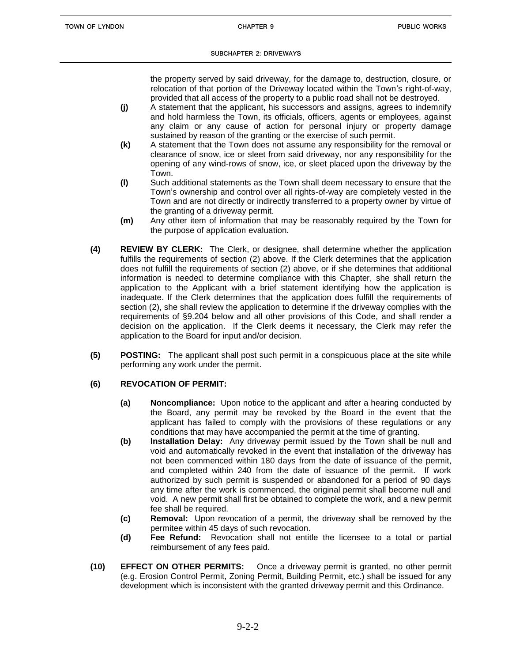the property served by said driveway, for the damage to, destruction, closure, or relocation of that portion of the Driveway located within the Town's right-of-way, provided that all access of the property to a public road shall not be destroyed.

- **(j)** A statement that the applicant, his successors and assigns, agrees to indemnify and hold harmless the Town, its officials, officers, agents or employees, against any claim or any cause of action for personal injury or property damage sustained by reason of the granting or the exercise of such permit.
- **(k)** A statement that the Town does not assume any responsibility for the removal or clearance of snow, ice or sleet from said driveway, nor any responsibility for the opening of any wind-rows of snow, ice, or sleet placed upon the driveway by the Town.
- **(l)** Such additional statements as the Town shall deem necessary to ensure that the Town's ownership and control over all rights-of-way are completely vested in the Town and are not directly or indirectly transferred to a property owner by virtue of the granting of a driveway permit.
- **(m)** Any other item of information that may be reasonably required by the Town for the purpose of application evaluation.
- **(4) REVIEW BY CLERK:** The Clerk, or designee, shall determine whether the application fulfills the requirements of section (2) above. If the Clerk determines that the application does not fulfill the requirements of section (2) above, or if she determines that additional information is needed to determine compliance with this Chapter, she shall return the application to the Applicant with a brief statement identifying how the application is inadequate. If the Clerk determines that the application does fulfill the requirements of section (2), she shall review the application to determine if the driveway complies with the requirements of §9.204 below and all other provisions of this Code, and shall render a decision on the application. If the Clerk deems it necessary, the Clerk may refer the application to the Board for input and/or decision.
- **(5) POSTING:** The applicant shall post such permit in a conspicuous place at the site while performing any work under the permit.

# **(6) REVOCATION OF PERMIT:**

- **(a) Noncompliance:** Upon notice to the applicant and after a hearing conducted by the Board, any permit may be revoked by the Board in the event that the applicant has failed to comply with the provisions of these regulations or any conditions that may have accompanied the permit at the time of granting.
- **(b) Installation Delay:** Any driveway permit issued by the Town shall be null and void and automatically revoked in the event that installation of the driveway has not been commenced within 180 days from the date of issuance of the permit, and completed within 240 from the date of issuance of the permit. If work authorized by such permit is suspended or abandoned for a period of 90 days any time after the work is commenced, the original permit shall become null and void. A new permit shall first be obtained to complete the work, and a new permit fee shall be required.
- **(c) Removal:** Upon revocation of a permit, the driveway shall be removed by the permitee within 45 days of such revocation.
- **(d) Fee Refund:** Revocation shall not entitle the licensee to a total or partial reimbursement of any fees paid.
- **(10) EFFECT ON OTHER PERMITS:** Once a driveway permit is granted, no other permit (e.g. Erosion Control Permit, Zoning Permit, Building Permit, etc.) shall be issued for any development which is inconsistent with the granted driveway permit and this Ordinance.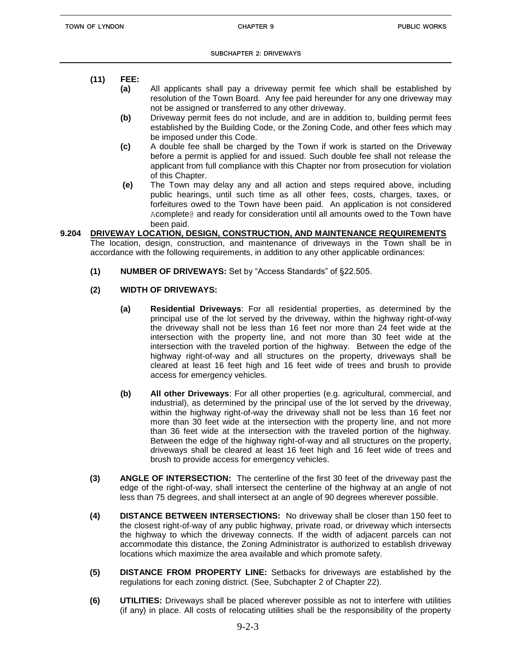- **(11) FEE:**
	- **(a)** All applicants shall pay a driveway permit fee which shall be established by resolution of the Town Board. Any fee paid hereunder for any one driveway may not be assigned or transferred to any other driveway.
	- **(b)** Driveway permit fees do not include, and are in addition to, building permit fees established by the Building Code, or the Zoning Code, and other fees which may be imposed under this Code.
	- **(c)** A double fee shall be charged by the Town if work is started on the Driveway before a permit is applied for and issued. Such double fee shall not release the applicant from full compliance with this Chapter nor from prosecution for violation of this Chapter.
	- **(e)** The Town may delay any and all action and steps required above, including public hearings, until such time as all other fees, costs, charges, taxes, or forfeitures owed to the Town have been paid. An application is not considered Acomplete@ and ready for consideration until all amounts owed to the Town have been paid.
- **9.204 DRIVEWAY LOCATION, DESIGN, CONSTRUCTION, AND MAINTENANCE REQUIREMENTS** The location, design, construction, and maintenance of driveways in the Town shall be in accordance with the following requirements, in addition to any other applicable ordinances:
	- **(1) NUMBER OF DRIVEWAYS:** Set by "Access Standards" of §22.505.
	- **(2) WIDTH OF DRIVEWAYS:**
		- **(a) Residential Driveways**: For all residential properties, as determined by the principal use of the lot served by the driveway, within the highway right-of-way the driveway shall not be less than 16 feet nor more than 24 feet wide at the intersection with the property line, and not more than 30 feet wide at the intersection with the traveled portion of the highway. Between the edge of the highway right-of-way and all structures on the property, driveways shall be cleared at least 16 feet high and 16 feet wide of trees and brush to provide access for emergency vehicles.
		- **(b) All other Driveways**: For all other properties (e.g. agricultural, commercial, and industrial), as determined by the principal use of the lot served by the driveway, within the highway right-of-way the driveway shall not be less than 16 feet nor more than 30 feet wide at the intersection with the property line, and not more than 36 feet wide at the intersection with the traveled portion of the highway. Between the edge of the highway right-of-way and all structures on the property, driveways shall be cleared at least 16 feet high and 16 feet wide of trees and brush to provide access for emergency vehicles.
	- **(3) ANGLE OF INTERSECTION:** The centerline of the first 30 feet of the driveway past the edge of the right-of-way, shall intersect the centerline of the highway at an angle of not less than 75 degrees, and shall intersect at an angle of 90 degrees wherever possible.
	- **(4) DISTANCE BETWEEN INTERSECTIONS:** No driveway shall be closer than 150 feet to the closest right-of-way of any public highway, private road, or driveway which intersects the highway to which the driveway connects. If the width of adjacent parcels can not accommodate this distance, the Zoning Administrator is authorized to establish driveway locations which maximize the area available and which promote safety.
	- **(5) DISTANCE FROM PROPERTY LINE:** Setbacks for driveways are established by the regulations for each zoning district. (See, Subchapter 2 of Chapter 22).
	- **(6) UTILITIES:** Driveways shall be placed wherever possible as not to interfere with utilities (if any) in place. All costs of relocating utilities shall be the responsibility of the property